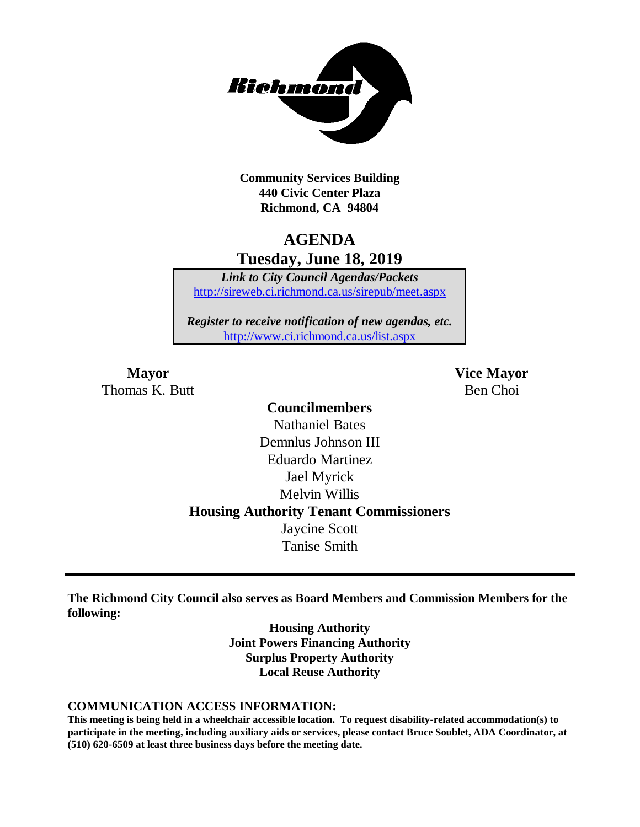

**Community Services Building 440 Civic Center Plaza Richmond, CA 94804**

## **AGENDA Tuesday, June 18, 2019**

*Link to City Council Agendas/Packets* <http://sireweb.ci.richmond.ca.us/sirepub/meet.aspx>

*Register to receive notification of new agendas, etc.* <http://www.ci.richmond.ca.us/list.aspx>

Thomas K. Butt Ben Choi

**Mayor Vice Mayor**

# **Councilmembers** Nathaniel Bates Demnlus Johnson III Eduardo Martinez Jael Myrick Melvin Willis **Housing Authority Tenant Commissioners** Jaycine Scott Tanise Smith

**The Richmond City Council also serves as Board Members and Commission Members for the following:**

> **Housing Authority Joint Powers Financing Authority Surplus Property Authority Local Reuse Authority**

#### **COMMUNICATION ACCESS INFORMATION:**

**This meeting is being held in a wheelchair accessible location. To request disability-related accommodation(s) to participate in the meeting, including auxiliary aids or services, please contact Bruce Soublet, ADA Coordinator, at (510) 620-6509 at least three business days before the meeting date.**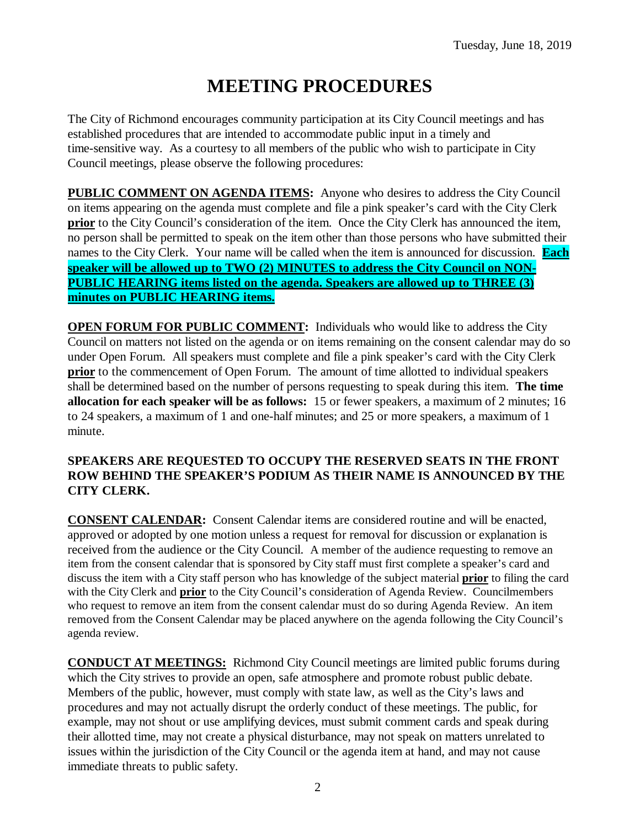# **MEETING PROCEDURES**

The City of Richmond encourages community participation at its City Council meetings and has established procedures that are intended to accommodate public input in a timely and time-sensitive way. As a courtesy to all members of the public who wish to participate in City Council meetings, please observe the following procedures:

**PUBLIC COMMENT ON AGENDA ITEMS:** Anyone who desires to address the City Council on items appearing on the agenda must complete and file a pink speaker's card with the City Clerk **prior** to the City Council's consideration of the item. Once the City Clerk has announced the item, no person shall be permitted to speak on the item other than those persons who have submitted their names to the City Clerk. Your name will be called when the item is announced for discussion. **Each speaker will be allowed up to TWO (2) MINUTES to address the City Council on NON-PUBLIC HEARING items listed on the agenda. Speakers are allowed up to THREE (3) minutes on PUBLIC HEARING items.**

**OPEN FORUM FOR PUBLIC COMMENT:** Individuals who would like to address the City Council on matters not listed on the agenda or on items remaining on the consent calendar may do so under Open Forum. All speakers must complete and file a pink speaker's card with the City Clerk **prior** to the commencement of Open Forum. The amount of time allotted to individual speakers shall be determined based on the number of persons requesting to speak during this item. **The time allocation for each speaker will be as follows:** 15 or fewer speakers, a maximum of 2 minutes; 16 to 24 speakers, a maximum of 1 and one-half minutes; and 25 or more speakers, a maximum of 1 minute.

#### **SPEAKERS ARE REQUESTED TO OCCUPY THE RESERVED SEATS IN THE FRONT ROW BEHIND THE SPEAKER'S PODIUM AS THEIR NAME IS ANNOUNCED BY THE CITY CLERK.**

**CONSENT CALENDAR:** Consent Calendar items are considered routine and will be enacted, approved or adopted by one motion unless a request for removal for discussion or explanation is received from the audience or the City Council. A member of the audience requesting to remove an item from the consent calendar that is sponsored by City staff must first complete a speaker's card and discuss the item with a City staff person who has knowledge of the subject material **prior** to filing the card with the City Clerk and **prior** to the City Council's consideration of Agenda Review. Councilmembers who request to remove an item from the consent calendar must do so during Agenda Review. An item removed from the Consent Calendar may be placed anywhere on the agenda following the City Council's agenda review.

**CONDUCT AT MEETINGS:** Richmond City Council meetings are limited public forums during which the City strives to provide an open, safe atmosphere and promote robust public debate. Members of the public, however, must comply with state law, as well as the City's laws and procedures and may not actually disrupt the orderly conduct of these meetings. The public, for example, may not shout or use amplifying devices, must submit comment cards and speak during their allotted time, may not create a physical disturbance, may not speak on matters unrelated to issues within the jurisdiction of the City Council or the agenda item at hand, and may not cause immediate threats to public safety.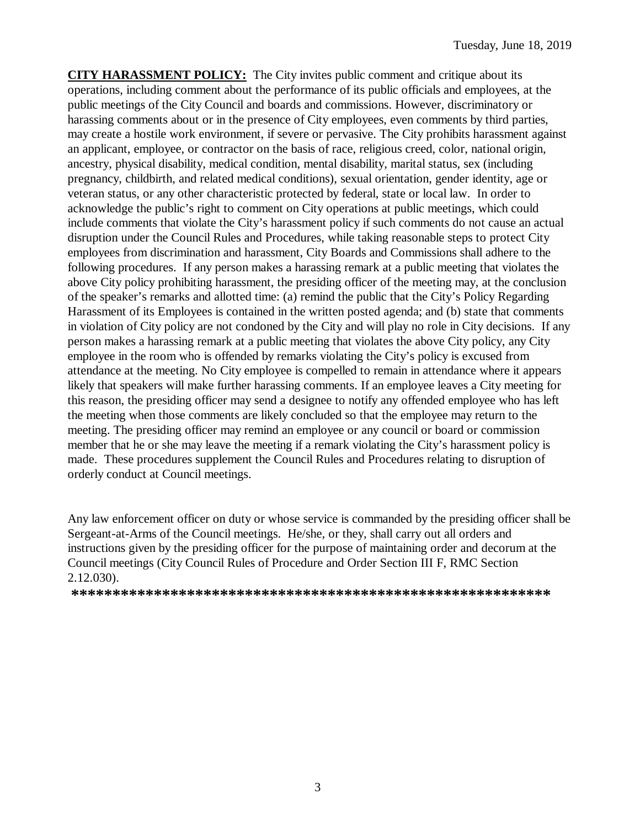**CITY HARASSMENT POLICY:** The City invites public comment and critique about its operations, including comment about the performance of its public officials and employees, at the public meetings of the City Council and boards and commissions. However, discriminatory or harassing comments about or in the presence of City employees, even comments by third parties, may create a hostile work environment, if severe or pervasive. The City prohibits harassment against an applicant, employee, or contractor on the basis of race, religious creed, color, national origin, ancestry, physical disability, medical condition, mental disability, marital status, sex (including pregnancy, childbirth, and related medical conditions), sexual orientation, gender identity, age or veteran status, or any other characteristic protected by federal, state or local law. In order to acknowledge the public's right to comment on City operations at public meetings, which could include comments that violate the City's harassment policy if such comments do not cause an actual disruption under the Council Rules and Procedures, while taking reasonable steps to protect City employees from discrimination and harassment, City Boards and Commissions shall adhere to the following procedures. If any person makes a harassing remark at a public meeting that violates the above City policy prohibiting harassment, the presiding officer of the meeting may, at the conclusion of the speaker's remarks and allotted time: (a) remind the public that the City's Policy Regarding Harassment of its Employees is contained in the written posted agenda; and (b) state that comments in violation of City policy are not condoned by the City and will play no role in City decisions. If any person makes a harassing remark at a public meeting that violates the above City policy, any City employee in the room who is offended by remarks violating the City's policy is excused from attendance at the meeting. No City employee is compelled to remain in attendance where it appears likely that speakers will make further harassing comments. If an employee leaves a City meeting for this reason, the presiding officer may send a designee to notify any offended employee who has left the meeting when those comments are likely concluded so that the employee may return to the meeting. The presiding officer may remind an employee or any council or board or commission member that he or she may leave the meeting if a remark violating the City's harassment policy is made. These procedures supplement the Council Rules and Procedures relating to disruption of orderly conduct at Council meetings.

Any law enforcement officer on duty or whose service is commanded by the presiding officer shall be Sergeant-at-Arms of the Council meetings. He/she, or they, shall carry out all orders and instructions given by the presiding officer for the purpose of maintaining order and decorum at the Council meetings (City Council Rules of Procedure and Order Section III F, RMC Section 2.12.030).

**\*\*\*\*\*\*\*\*\*\*\*\*\*\*\*\*\*\*\*\*\*\*\*\*\*\*\*\*\*\*\*\*\*\*\*\*\*\*\*\*\*\*\*\*\*\*\*\*\*\*\*\*\*\*\*\*\*\***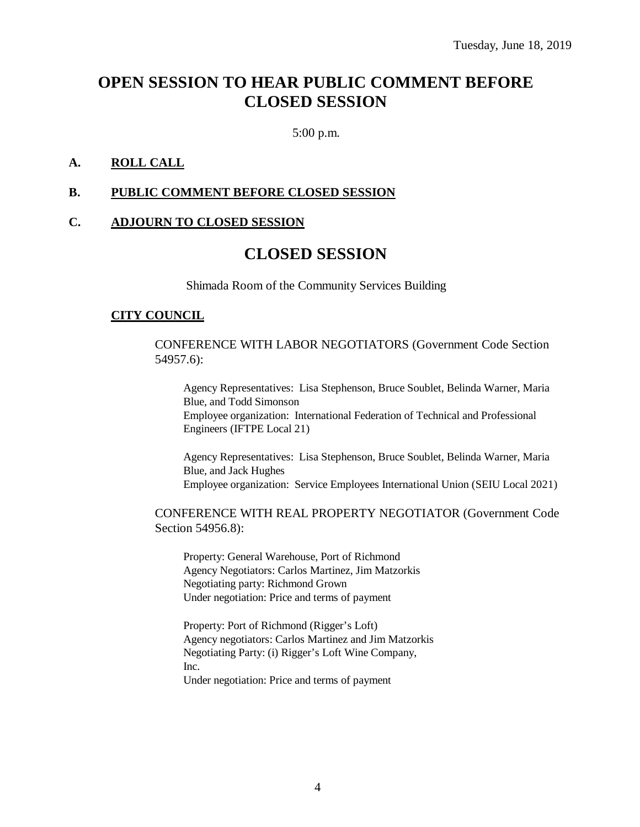# **OPEN SESSION TO HEAR PUBLIC COMMENT BEFORE CLOSED SESSION**

5:00 p.m.

#### **A. ROLL CALL**

#### **B. PUBLIC COMMENT BEFORE CLOSED SESSION**

#### **C. ADJOURN TO CLOSED SESSION**

### **CLOSED SESSION**

Shimada Room of the Community Services Building

#### **CITY COUNCIL**

CONFERENCE WITH LABOR NEGOTIATORS (Government Code Section 54957.6):

Agency Representatives: Lisa Stephenson, Bruce Soublet, Belinda Warner, Maria Blue, and Todd Simonson Employee organization: International Federation of Technical and Professional Engineers (IFTPE Local 21)

Agency Representatives: Lisa Stephenson, Bruce Soublet, Belinda Warner, Maria Blue, and Jack Hughes Employee organization: Service Employees International Union (SEIU Local 2021)

#### CONFERENCE WITH REAL PROPERTY NEGOTIATOR (Government Code Section 54956.8):

Property: General Warehouse, Port of Richmond Agency Negotiators: Carlos Martinez, Jim Matzorkis Negotiating party: Richmond Grown Under negotiation: Price and terms of payment

Property: Port of Richmond (Rigger's Loft) Agency negotiators: Carlos Martinez and Jim Matzorkis Negotiating Party: (i) Rigger's Loft Wine Company, Inc.

Under negotiation: Price and terms of payment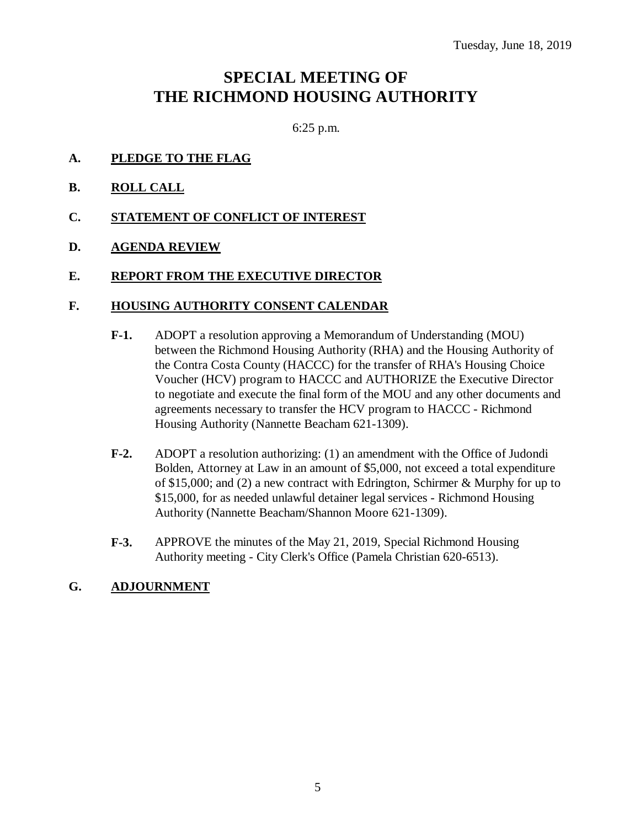# **SPECIAL MEETING OF THE RICHMOND HOUSING AUTHORITY**

6:25 p.m.

- **A. PLEDGE TO THE FLAG**
- **B. ROLL CALL**
- **C. STATEMENT OF CONFLICT OF INTEREST**
- **D. AGENDA REVIEW**

#### **E. REPORT FROM THE EXECUTIVE DIRECTOR**

#### **F. HOUSING AUTHORITY CONSENT CALENDAR**

- **F-1.** ADOPT a resolution approving a Memorandum of Understanding (MOU) between the Richmond Housing Authority (RHA) and the Housing Authority of the Contra Costa County (HACCC) for the transfer of RHA's Housing Choice Voucher (HCV) program to HACCC and AUTHORIZE the Executive Director to negotiate and execute the final form of the MOU and any other documents and agreements necessary to transfer the HCV program to HACCC - Richmond Housing Authority (Nannette Beacham 621-1309).
- **F-2.** ADOPT a resolution authorizing: (1) an amendment with the Office of Judondi Bolden, Attorney at Law in an amount of \$5,000, not exceed a total expenditure of \$15,000; and (2) a new contract with Edrington, Schirmer & Murphy for up to \$15,000, for as needed unlawful detainer legal services - Richmond Housing Authority (Nannette Beacham/Shannon Moore 621-1309).
- **F-3.** APPROVE the minutes of the May 21, 2019, Special Richmond Housing Authority meeting - City Clerk's Office (Pamela Christian 620-6513).

#### **G. ADJOURNMENT**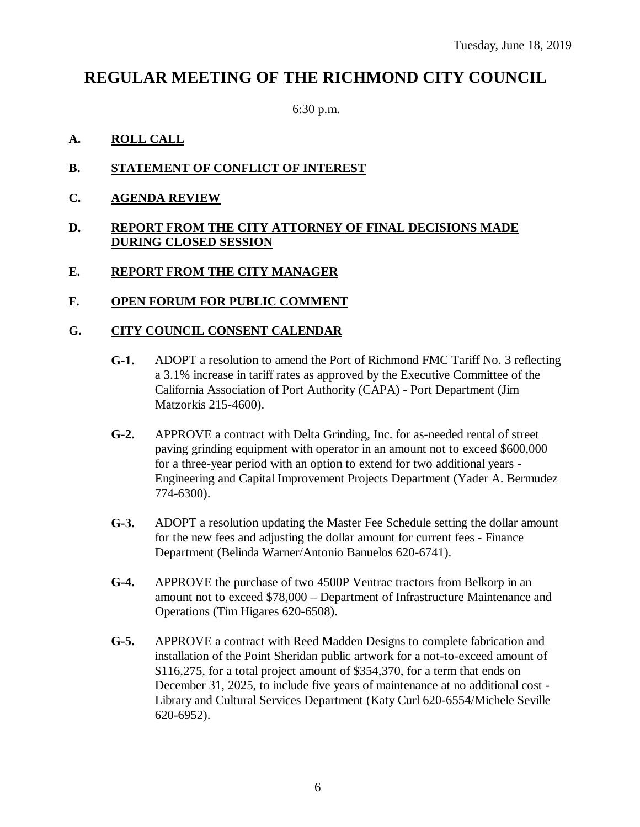# **REGULAR MEETING OF THE RICHMOND CITY COUNCIL**

6:30 p.m.

### **A. ROLL CALL**

- **B. STATEMENT OF CONFLICT OF INTEREST**
- **C. AGENDA REVIEW**

#### **D. REPORT FROM THE CITY ATTORNEY OF FINAL DECISIONS MADE DURING CLOSED SESSION**

#### **E. REPORT FROM THE CITY MANAGER**

#### **F. OPEN FORUM FOR PUBLIC COMMENT**

#### **G. CITY COUNCIL CONSENT CALENDAR**

- **G-1.** ADOPT a resolution to amend the Port of Richmond FMC Tariff No. 3 reflecting a 3.1% increase in tariff rates as approved by the Executive Committee of the California Association of Port Authority (CAPA) - Port Department (Jim Matzorkis 215-4600).
- **G-2.** APPROVE a contract with Delta Grinding, Inc. for as-needed rental of street paving grinding equipment with operator in an amount not to exceed \$600,000 for a three-year period with an option to extend for two additional years - Engineering and Capital Improvement Projects Department (Yader A. Bermudez 774-6300).
- **G-3.** ADOPT a resolution updating the Master Fee Schedule setting the dollar amount for the new fees and adjusting the dollar amount for current fees - Finance Department (Belinda Warner/Antonio Banuelos 620-6741).
- **G-4.** APPROVE the purchase of two 4500P Ventrac tractors from Belkorp in an amount not to exceed \$78,000 – Department of Infrastructure Maintenance and Operations (Tim Higares 620-6508).
- **G-5.** APPROVE a contract with Reed Madden Designs to complete fabrication and installation of the Point Sheridan public artwork for a not-to-exceed amount of \$116,275, for a total project amount of \$354,370, for a term that ends on December 31, 2025, to include five years of maintenance at no additional cost - Library and Cultural Services Department (Katy Curl 620-6554/Michele Seville 620-6952).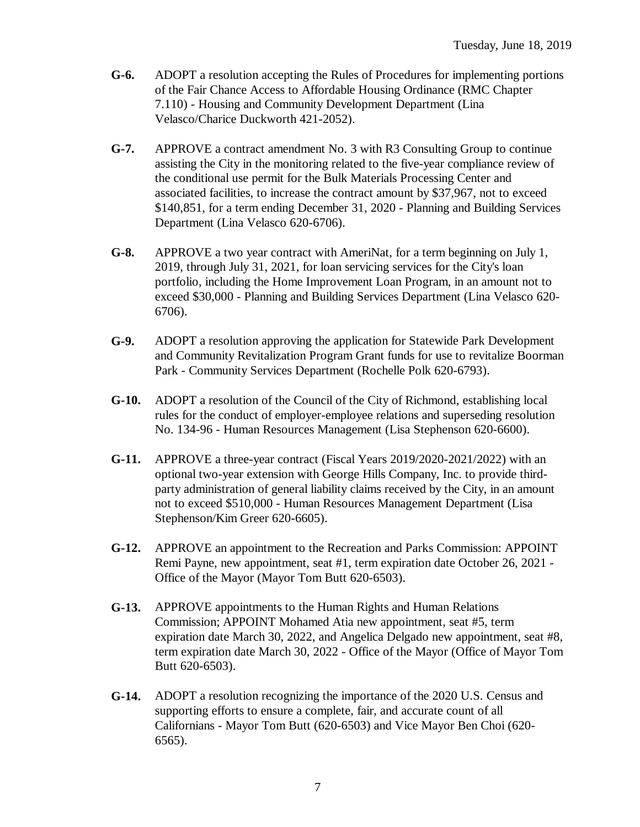- **G-6.** ADOPT a resolution accepting the Rules of Procedures for implementing portions of the Fair Chance Access to Affordable Housing Ordinance (RMC Chapter 7.110) - Housing and Community Development Department (Lina Velasco/Charice Duckworth 421-2052).
- **G-7.** APPROVE a contract amendment No. 3 with R3 Consulting Group to continue assisting the City in the monitoring related to the five-year compliance review of the conditional use permit for the Bulk Materials Processing Center and associated facilities, to increase the contract amount by \$37,967, not to exceed \$140,851, for a term ending December 31, 2020 - Planning and Building Services Department (Lina Velasco 620-6706).
- **G-8.** APPROVE a two year contract with AmeriNat, for a term beginning on July 1, 2019, through July 31, 2021, for loan servicing services for the City's loan portfolio, including the Home Improvement Loan Program, in an amount not to exceed \$30,000 - Planning and Building Services Department (Lina Velasco 620- 6706).
- **G-9.** ADOPT a resolution approving the application for Statewide Park Development and Community Revitalization Program Grant funds for use to revitalize Boorman Park - Community Services Department (Rochelle Polk 620-6793).
- **G-10.** ADOPT a resolution of the Council of the City of Richmond, establishing local rules for the conduct of employer-employee relations and superseding resolution No. 134-96 - Human Resources Management (Lisa Stephenson 620-6600).
- **G-11.** APPROVE a three-year contract (Fiscal Years 2019/2020-2021/2022) with an optional two-year extension with George Hills Company, Inc. to provide thirdparty administration of general liability claims received by the City, in an amount not to exceed \$510,000 - Human Resources Management Department (Lisa Stephenson/Kim Greer 620-6605).
- **G-12.** APPROVE an appointment to the Recreation and Parks Commission: APPOINT Remi Payne, new appointment, seat #1, term expiration date October 26, 2021 - Office of the Mayor (Mayor Tom Butt 620-6503).
- **G-13.** APPROVE appointments to the Human Rights and Human Relations Commission; APPOINT Mohamed Atia new appointment, seat #5, term expiration date March 30, 2022, and Angelica Delgado new appointment, seat #8, term expiration date March 30, 2022 - Office of the Mayor (Office of Mayor Tom Butt 620-6503).
- **G-14.** ADOPT a resolution recognizing the importance of the 2020 U.S. Census and supporting efforts to ensure a complete, fair, and accurate count of all Californians - Mayor Tom Butt (620-6503) and Vice Mayor Ben Choi (620- 6565).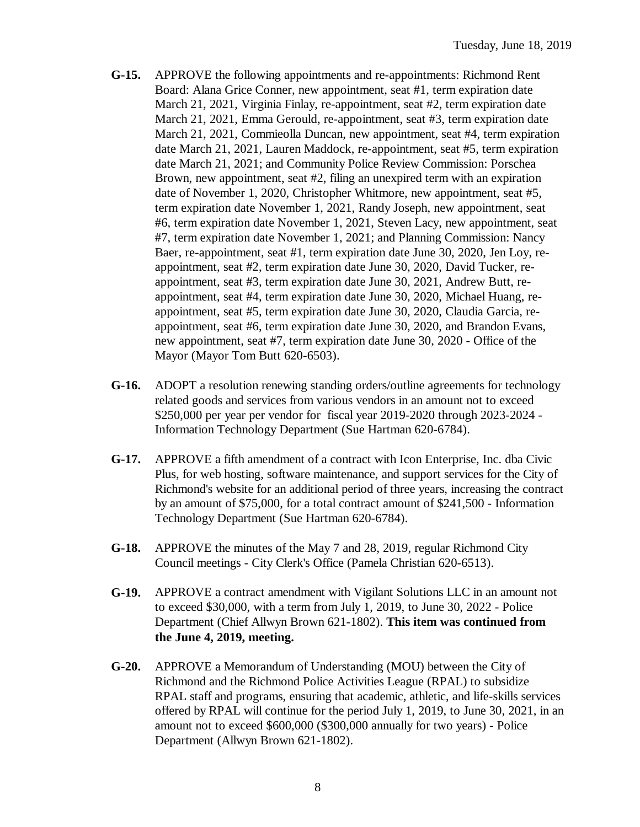- **G-15.** APPROVE the following appointments and re-appointments: Richmond Rent Board: Alana Grice Conner, new appointment, seat #1, term expiration date March 21, 2021, Virginia Finlay, re-appointment, seat #2, term expiration date March 21, 2021, Emma Gerould, re-appointment, seat #3, term expiration date March 21, 2021, Commieolla Duncan, new appointment, seat #4, term expiration date March 21, 2021, Lauren Maddock, re-appointment, seat #5, term expiration date March 21, 2021; and Community Police Review Commission: Porschea Brown, new appointment, seat #2, filing an unexpired term with an expiration date of November 1, 2020, Christopher Whitmore, new appointment, seat #5, term expiration date November 1, 2021, Randy Joseph, new appointment, seat #6, term expiration date November 1, 2021, Steven Lacy, new appointment, seat #7, term expiration date November 1, 2021; and Planning Commission: Nancy Baer, re-appointment, seat #1, term expiration date June 30, 2020, Jen Loy, reappointment, seat #2, term expiration date June 30, 2020, David Tucker, reappointment, seat #3, term expiration date June 30, 2021, Andrew Butt, reappointment, seat #4, term expiration date June 30, 2020, Michael Huang, reappointment, seat #5, term expiration date June 30, 2020, Claudia Garcia, reappointment, seat #6, term expiration date June 30, 2020, and Brandon Evans, new appointment, seat #7, term expiration date June 30, 2020 - Office of the Mayor (Mayor Tom Butt 620-6503).
- **G-16.** ADOPT a resolution renewing standing orders/outline agreements for technology related goods and services from various vendors in an amount not to exceed \$250,000 per year per vendor for fiscal year 2019-2020 through 2023-2024 - Information Technology Department (Sue Hartman 620-6784).
- **G-17.** APPROVE a fifth amendment of a contract with Icon Enterprise, Inc. dba Civic Plus, for web hosting, software maintenance, and support services for the City of Richmond's website for an additional period of three years, increasing the contract by an amount of \$75,000, for a total contract amount of \$241,500 - Information Technology Department (Sue Hartman 620-6784).
- **G-18.** APPROVE the minutes of the May 7 and 28, 2019, regular Richmond City Council meetings - City Clerk's Office (Pamela Christian 620-6513).
- **G-19.** APPROVE a contract amendment with Vigilant Solutions LLC in an amount not to exceed \$30,000, with a term from July 1, 2019, to June 30, 2022 - Police Department (Chief Allwyn Brown 621-1802). **This item was continued from the June 4, 2019, meeting.**
- **G-20.** APPROVE a Memorandum of Understanding (MOU) between the City of Richmond and the Richmond Police Activities League (RPAL) to subsidize RPAL staff and programs, ensuring that academic, athletic, and life-skills services offered by RPAL will continue for the period July 1, 2019, to June 30, 2021, in an amount not to exceed \$600,000 (\$300,000 annually for two years) - Police Department (Allwyn Brown 621-1802).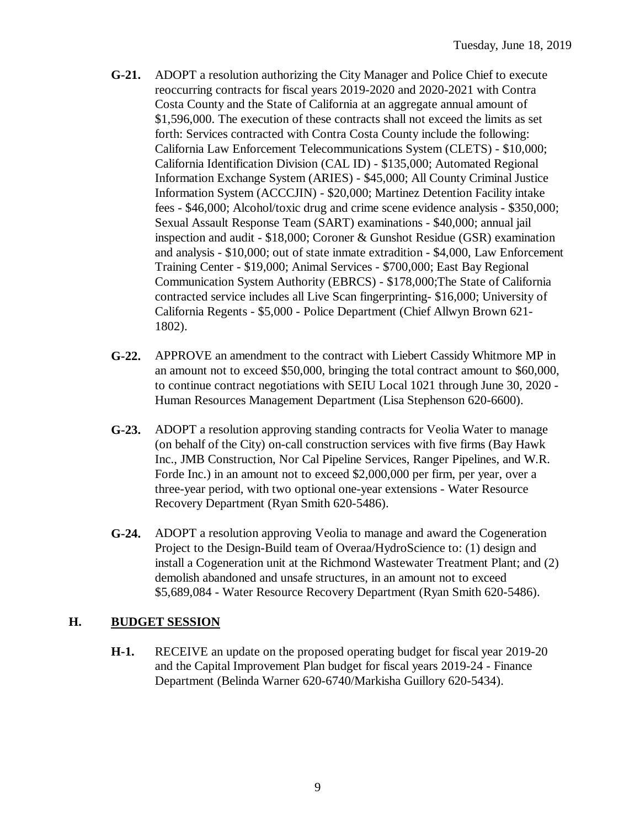- **G-21.** ADOPT a resolution authorizing the City Manager and Police Chief to execute reoccurring contracts for fiscal years 2019-2020 and 2020-2021 with Contra Costa County and the State of California at an aggregate annual amount of \$1,596,000. The execution of these contracts shall not exceed the limits as set forth: Services contracted with Contra Costa County include the following: California Law Enforcement Telecommunications System (CLETS) - \$10,000; California Identification Division (CAL ID) - \$135,000; Automated Regional Information Exchange System (ARIES) - \$45,000; All County Criminal Justice Information System (ACCCJIN) - \$20,000; Martinez Detention Facility intake fees - \$46,000; Alcohol/toxic drug and crime scene evidence analysis - \$350,000; Sexual Assault Response Team (SART) examinations - \$40,000; annual jail inspection and audit - \$18,000; Coroner & Gunshot Residue (GSR) examination and analysis - \$10,000; out of state inmate extradition - \$4,000, Law Enforcement Training Center - \$19,000; Animal Services - \$700,000; East Bay Regional Communication System Authority (EBRCS) - \$178,000;The State of California contracted service includes all Live Scan fingerprinting- \$16,000; University of California Regents - \$5,000 - Police Department (Chief Allwyn Brown 621- 1802).
- **G-22.** APPROVE an amendment to the contract with Liebert Cassidy Whitmore MP in an amount not to exceed \$50,000, bringing the total contract amount to \$60,000, to continue contract negotiations with SEIU Local 1021 through June 30, 2020 - Human Resources Management Department (Lisa Stephenson 620-6600).
- **G-23.** ADOPT a resolution approving standing contracts for Veolia Water to manage (on behalf of the City) on-call construction services with five firms (Bay Hawk Inc., JMB Construction, Nor Cal Pipeline Services, Ranger Pipelines, and W.R. Forde Inc.) in an amount not to exceed \$2,000,000 per firm, per year, over a three-year period, with two optional one-year extensions - Water Resource Recovery Department (Ryan Smith 620-5486).
- **G-24.** ADOPT a resolution approving Veolia to manage and award the Cogeneration Project to the Design-Build team of Overaa/HydroScience to: (1) design and install a Cogeneration unit at the Richmond Wastewater Treatment Plant; and (2) demolish abandoned and unsafe structures, in an amount not to exceed \$5,689,084 - Water Resource Recovery Department (Ryan Smith 620-5486).

#### **H. BUDGET SESSION**

**H-1.** RECEIVE an update on the proposed operating budget for fiscal year 2019-20 and the Capital Improvement Plan budget for fiscal years 2019-24 - Finance Department (Belinda Warner 620-6740/Markisha Guillory 620-5434).